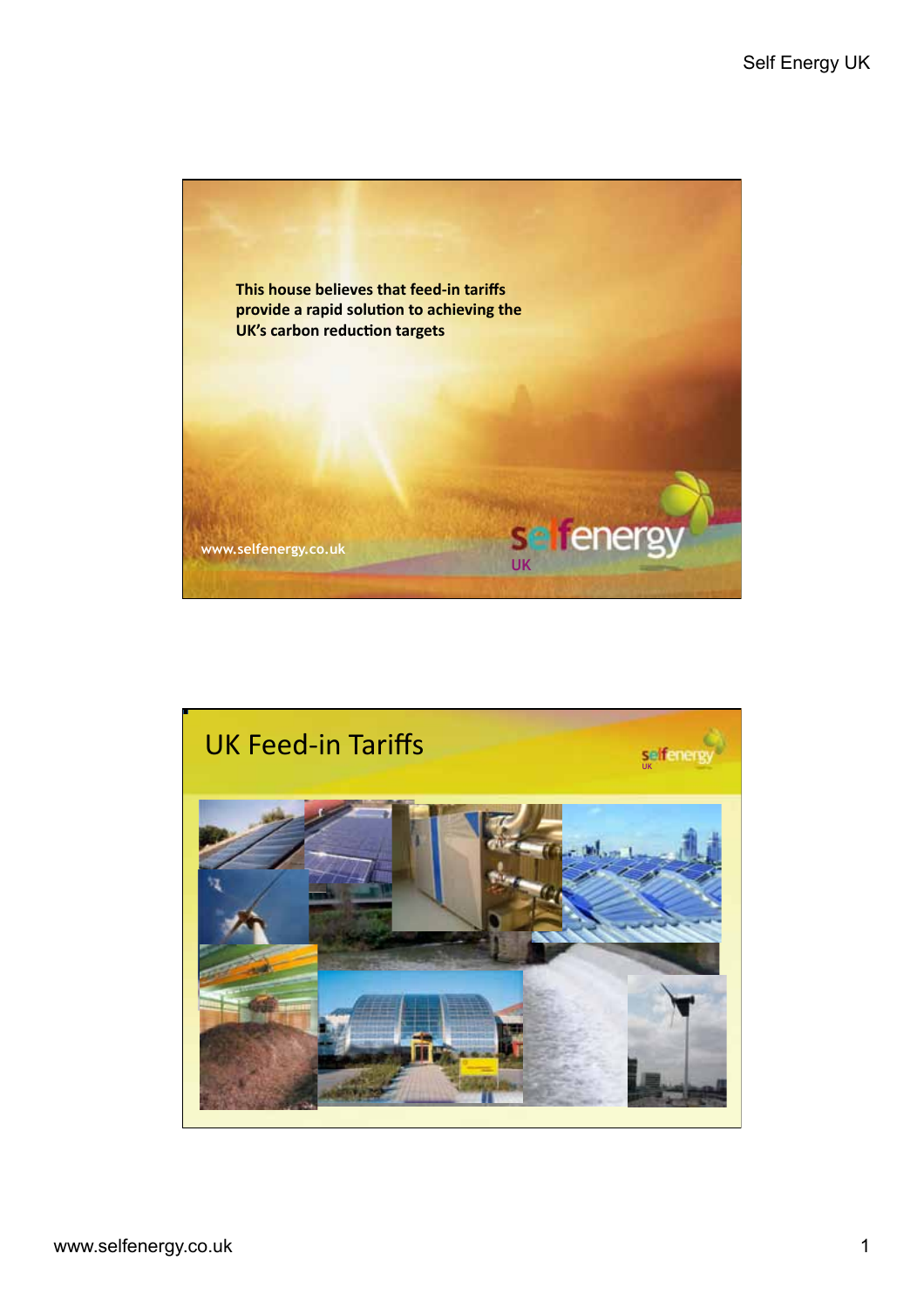

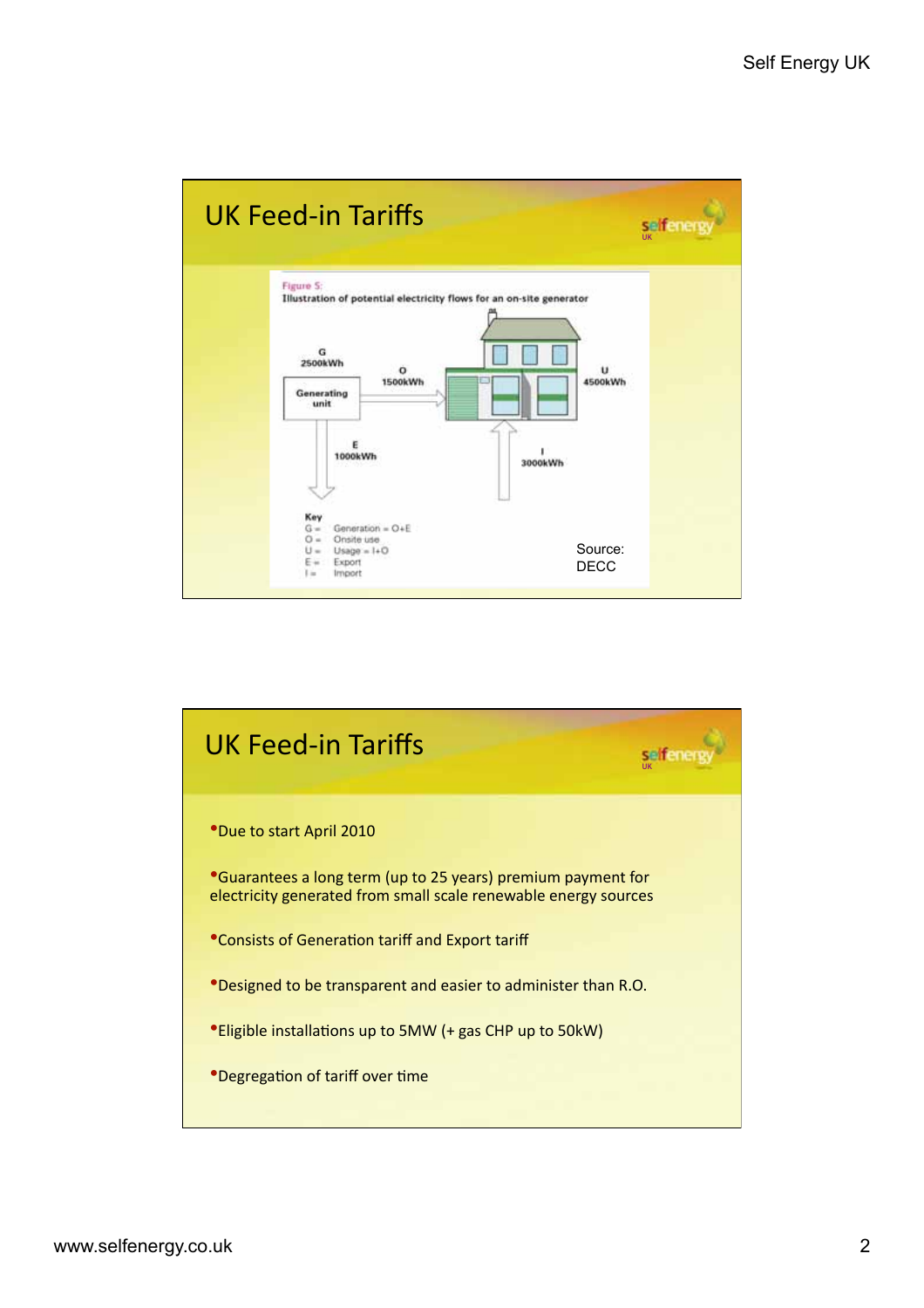

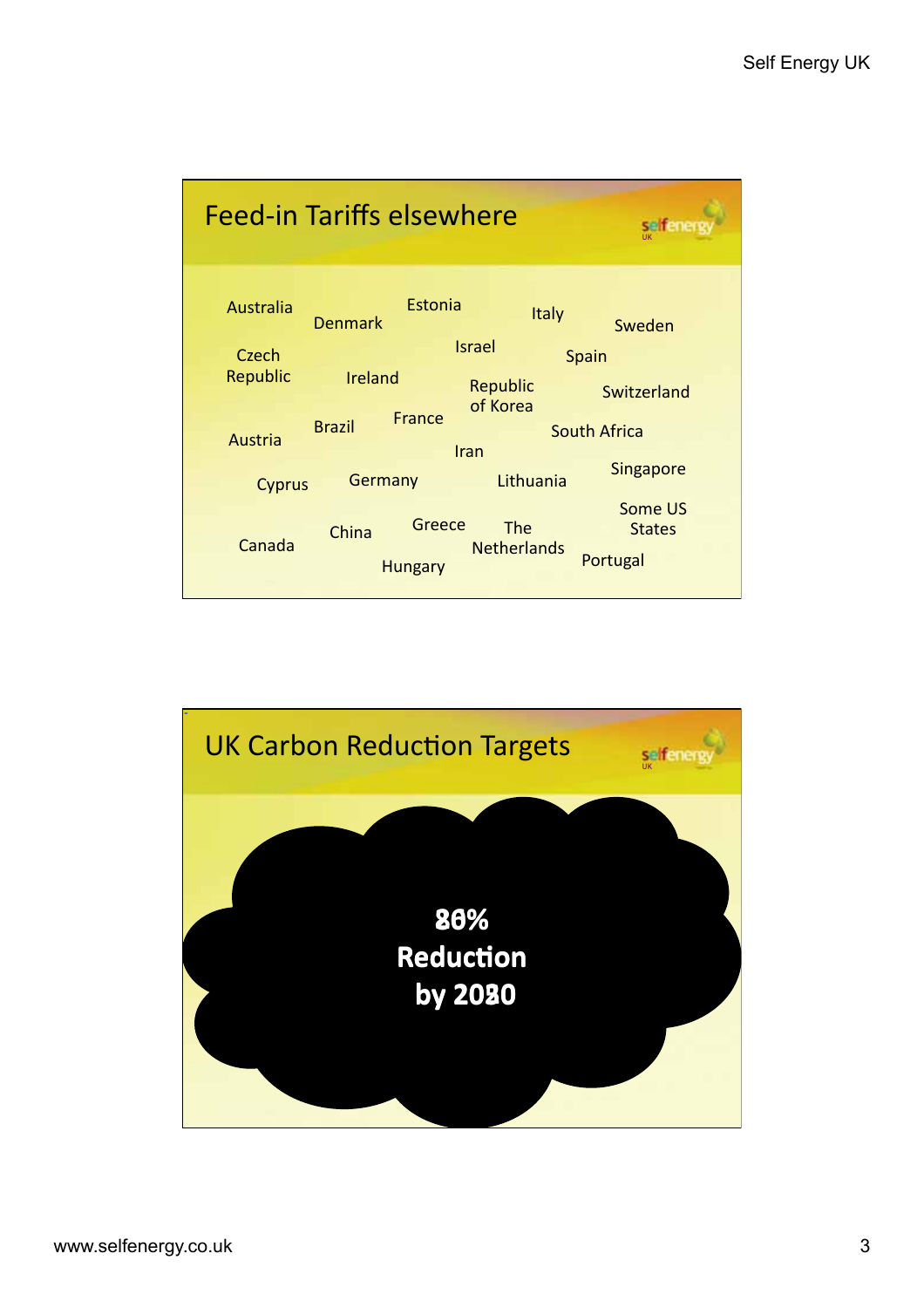

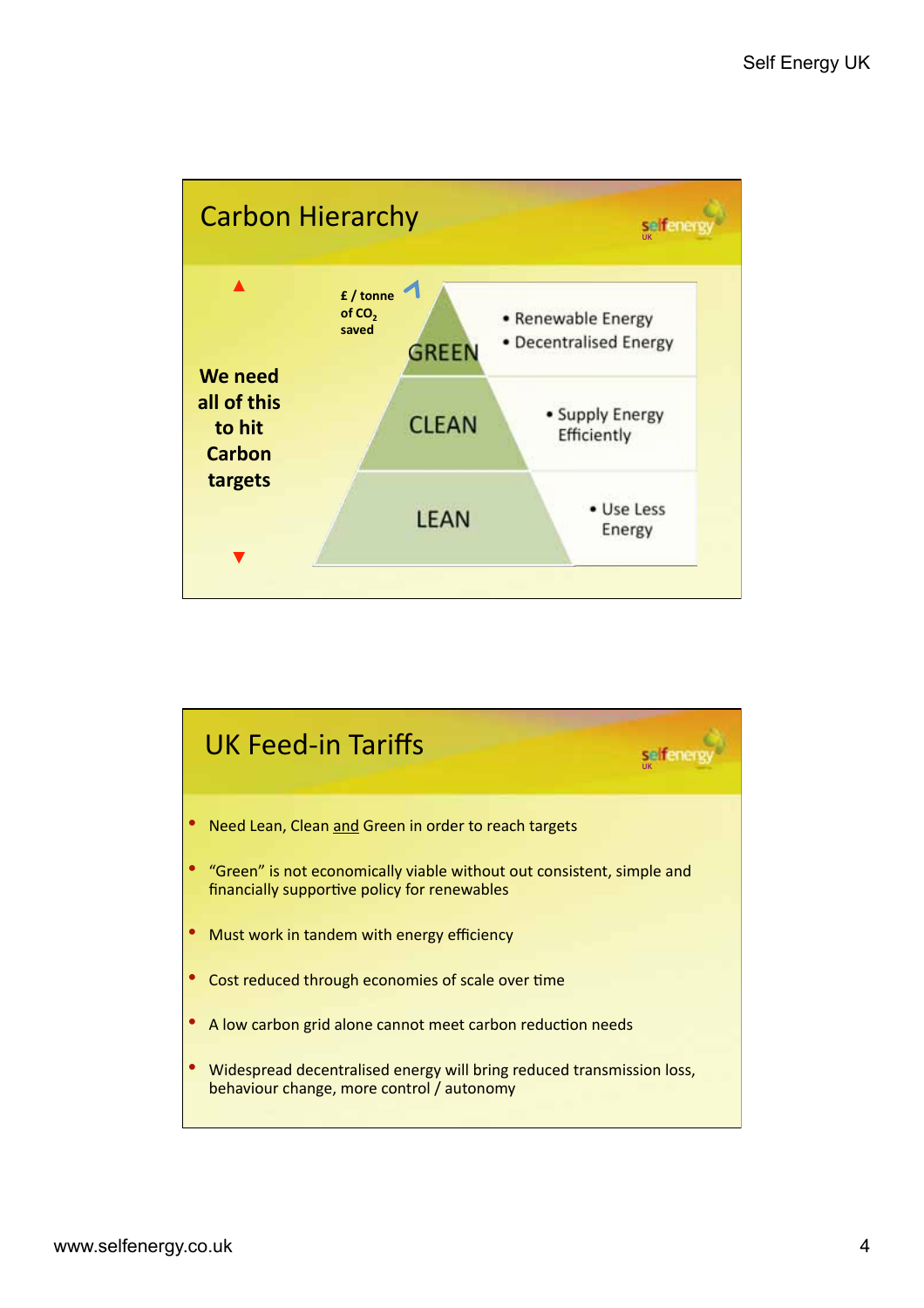